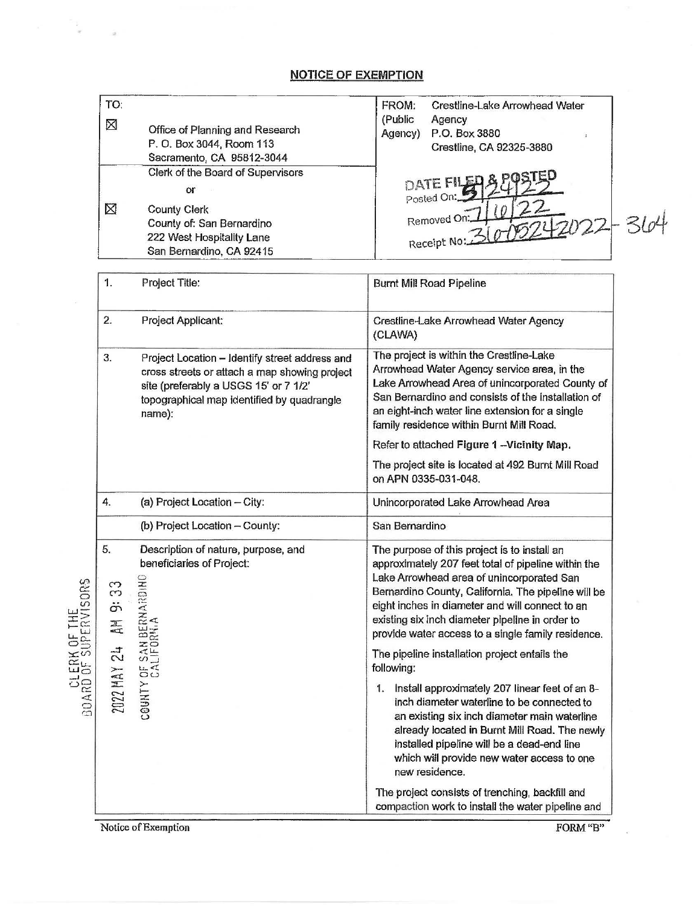## **NOTICE OF EXEMPTION**

| TO:                                                                             |                                                                                                                                                                                                  | FROM:<br>Crestline-Lake Arrowhead Water                                                                                                                                                                                                                                                                                                                                                                                            |
|---------------------------------------------------------------------------------|--------------------------------------------------------------------------------------------------------------------------------------------------------------------------------------------------|------------------------------------------------------------------------------------------------------------------------------------------------------------------------------------------------------------------------------------------------------------------------------------------------------------------------------------------------------------------------------------------------------------------------------------|
| ⊠                                                                               | Office of Planning and Research<br>P. O. Box 3044, Room 113<br>Sacramento, CA 95812-3044                                                                                                         | (Public<br>Agency<br>P.O. Box 3880<br>Agency)<br>Crestline, CA 92325-3880                                                                                                                                                                                                                                                                                                                                                          |
| ⊠                                                                               | Clerk of the Board of Supervisors<br><b>Or</b><br><b>County Clerk</b><br>County of: San Bernardino<br>222 West Hospitality Lane<br>San Bernardino, CA 92415                                      | DATE FILE<br>Posted On:<br>Removed On:<br>364<br>2022<br>Receipt No:                                                                                                                                                                                                                                                                                                                                                               |
| 1.                                                                              | Project Title:                                                                                                                                                                                   | <b>Burnt Mill Road Pipeline</b>                                                                                                                                                                                                                                                                                                                                                                                                    |
| 2.                                                                              | Project Applicant:                                                                                                                                                                               | Crestline-Lake Arrowhead Water Agency<br>(CLAWA)                                                                                                                                                                                                                                                                                                                                                                                   |
| 3.                                                                              | Project Location - Identify street address and<br>cross streets or attach a map showing project<br>site (preferably a USGS 15' or 7 1/2'<br>topographical map identified by quadrangle<br>name): | The project is within the Crestline-Lake<br>Arrowhead Water Agency service area, in the<br>Lake Arrowhead Area of unincorporated County of<br>San Bernardino and consists of the installation of<br>an eight-inch water line extension for a single<br>family residence within Burnt Mill Road.<br>Refer to attached Figure 1 -Vicinity Map.<br>The project site is located at 492 Burnt Mill Road<br>on APN 0335-031-048.         |
| 4.                                                                              | (a) Project Location - City:                                                                                                                                                                     | Unincorporated Lake Arrowhead Area                                                                                                                                                                                                                                                                                                                                                                                                 |
|                                                                                 | (b) Project Location - County:                                                                                                                                                                   | San Bernardino                                                                                                                                                                                                                                                                                                                                                                                                                     |
| 5.<br>ORS<br>က<br>က<br>CLERK OF THE<br>BOARD OF SUPERVIS<br>ö<br>三<br>$\vec{z}$ | Description of nature, purpose, and<br>beneficiaries of Project:<br>$rac{1}{2}$<br>COUNTY OF SAN BERNAR<br>COUNTY OF SAN BERNAR                                                                  | The purpose of this project is to install an<br>approximately 207 feet total of pipeline within the<br>Lake Arrowhead area of unincorporated San<br>Bernardino County, California. The pipeline will be<br>eight inches in diameter and will connect to an<br>existing six inch diameter pipeline in order to<br>provide water access to a single family residence.<br>The pipeline installation project entails the<br>following: |
| 2022 MAY                                                                        |                                                                                                                                                                                                  | Install approximately 207 linear feet of an 8-<br>1.<br>inch diameter waterline to be connected to<br>an existing six inch diameter main waterline<br>already located in Burnt Mill Road. The newly<br>installed pipeline will be a dead-end line<br>which will provide new water access to one<br>new residence.                                                                                                                  |
|                                                                                 |                                                                                                                                                                                                  | The project consists of trenching, backfill and<br>compaction work to install the water pipeline and                                                                                                                                                                                                                                                                                                                               |

Notice of Exemption

 $\omega^2=-\frac{1}{2}\frac{1}{\omega}$ 

 $\frac{1}{2}$ 

FORM"B"